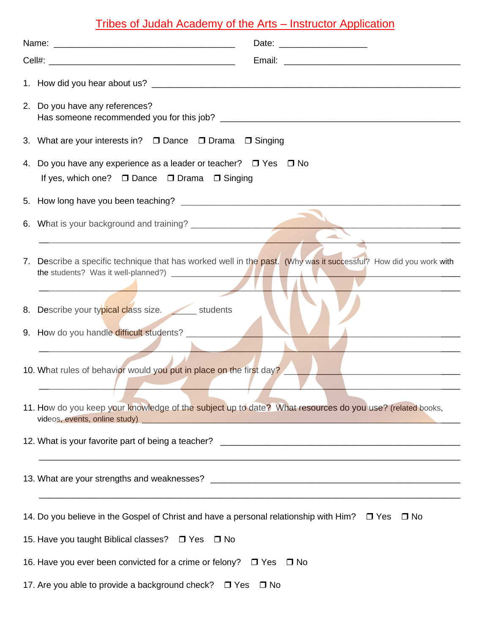## Tribes of Judah Academy of the Arts – Instructor Application

| 2. Do you have any references?                                                                                                                                                                                                                                     |
|--------------------------------------------------------------------------------------------------------------------------------------------------------------------------------------------------------------------------------------------------------------------|
| 3. What are your interests in? □ Dance □ Drama □ Singing                                                                                                                                                                                                           |
| 4. Do you have any experience as a leader or teacher? $\Box$ Yes $\Box$ No<br>If yes, which one? □ Dance □ Drama □ Singing                                                                                                                                         |
|                                                                                                                                                                                                                                                                    |
| 6. What is your background and training?                                                                                                                                                                                                                           |
| 7. Describe a specific technique that has worked well in the past. (Why was it successful? How did you work with                                                                                                                                                   |
| 8. Describe your typical class size. students                                                                                                                                                                                                                      |
| 9. How do you handle difficult students?                                                                                                                                                                                                                           |
| 10. What rules of behavior would you put in place on the first day?                                                                                                                                                                                                |
| 11. How do you keep your knowledge of the subject up to date? What resources do you use? (related books,<br>videos, events, online study)<br><u> 1988 - John Harry Harry Harry Harry Harry Harry Harry Harry Harry Harry Harry Harry Harry Harry Harry Harry H</u> |
|                                                                                                                                                                                                                                                                    |
|                                                                                                                                                                                                                                                                    |
| 14. Do you believe in the Gospel of Christ and have a personal relationship with Him? $\Box$ Yes $\Box$ No                                                                                                                                                         |
| 15. Have you taught Biblical classes? □ Yes □ No                                                                                                                                                                                                                   |
| 16. Have you ever been convicted for a crime or felony? □ Yes<br>$\Box$ No                                                                                                                                                                                         |
| 17. Are you able to provide a background check? □ Yes □ No                                                                                                                                                                                                         |